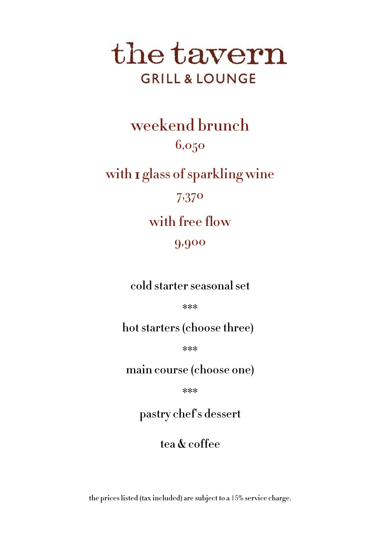# the tavern **GRILL & LOUNGE**

 $6050$ with I glass of sparkling wine 7,370  $w = \frac{1}{2} \int_{0}^{\infty} \frac{1}{2} \, dx$ 9,900  $\frac{1}{\sqrt{2}}$ 

hot starters (choose three)

main course (choose one)

## pastry chef's dessert

## tea & coffee

## the prices listed (tax included) are subject to a 15% service charge.

\*\*\*

\*\*\*

\*\*\*